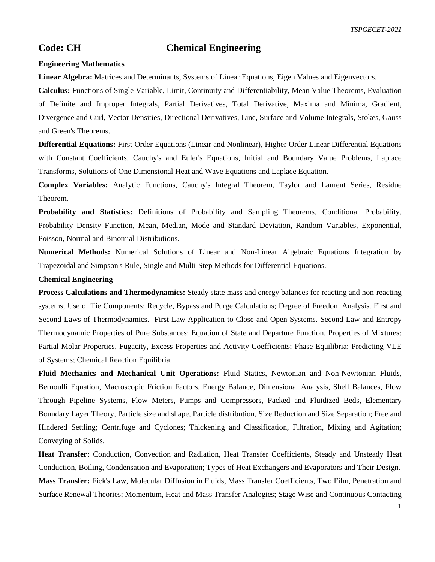## **Code: CH Chemical Engineering**

## **Engineering Mathematics**

**Linear Algebra:** Matrices and Determinants, Systems of Linear Equations, Eigen Values and Eigenvectors.

**Calculus:** Functions of Single Variable, Limit, Continuity and Differentiability, Mean Value Theorems, Evaluation of Definite and Improper Integrals, Partial Derivatives, Total Derivative, Maxima and Minima, Gradient, Divergence and Curl, Vector Densities, Directional Derivatives, Line, Surface and Volume Integrals, Stokes, Gauss and Green's Theorems.

**Differential Equations:** First Order Equations (Linear and Nonlinear), Higher Order Linear Differential Equations with Constant Coefficients, Cauchy's and Euler's Equations, Initial and Boundary Value Problems, Laplace Transforms, Solutions of One Dimensional Heat and Wave Equations and Laplace Equation.

**Complex Variables:** Analytic Functions, Cauchy's Integral Theorem, Taylor and Laurent Series, Residue Theorem.

**Probability and Statistics:** Definitions of Probability and Sampling Theorems, Conditional Probability, Probability Density Function, Mean, Median, Mode and Standard Deviation, Random Variables, Exponential, Poisson, Normal and Binomial Distributions.

**Numerical Methods:** Numerical Solutions of Linear and Non-Linear Algebraic Equations Integration by Trapezoidal and Simpson's Rule, Single and Multi-Step Methods for Differential Equations.

## **Chemical Engineering**

**Process Calculations and Thermodynamics:** Steady state mass and energy balances for reacting and non-reacting systems; Use of Tie Components; Recycle, Bypass and Purge Calculations; Degree of Freedom Analysis. First and Second Laws of Thermodynamics. First Law Application to Close and Open Systems. Second Law and Entropy Thermodynamic Properties of Pure Substances: Equation of State and Departure Function, Properties of Mixtures: Partial Molar Properties, Fugacity, Excess Properties and Activity Coefficients; Phase Equilibria: Predicting VLE of Systems; Chemical Reaction Equilibria.

**Fluid Mechanics and Mechanical Unit Operations:** Fluid Statics, Newtonian and Non-Newtonian Fluids, Bernoulli Equation, Macroscopic Friction Factors, Energy Balance, Dimensional Analysis, Shell Balances, Flow Through Pipeline Systems, Flow Meters, Pumps and Compressors, Packed and Fluidized Beds, Elementary Boundary Layer Theory, Particle size and shape, Particle distribution, Size Reduction and Size Separation; Free and Hindered Settling; Centrifuge and Cyclones; Thickening and Classification, Filtration, Mixing and Agitation; Conveying of Solids.

**Heat Transfer:** Conduction, Convection and Radiation, Heat Transfer Coefficients, Steady and Unsteady Heat Conduction, Boiling, Condensation and Evaporation; Types of Heat Exchangers and Evaporators and Their Design. **Mass Transfer:** Fick's Law, Molecular Diffusion in Fluids, Mass Transfer Coefficients, Two Film, Penetration and Surface Renewal Theories; Momentum, Heat and Mass Transfer Analogies; Stage Wise and Continuous Contacting